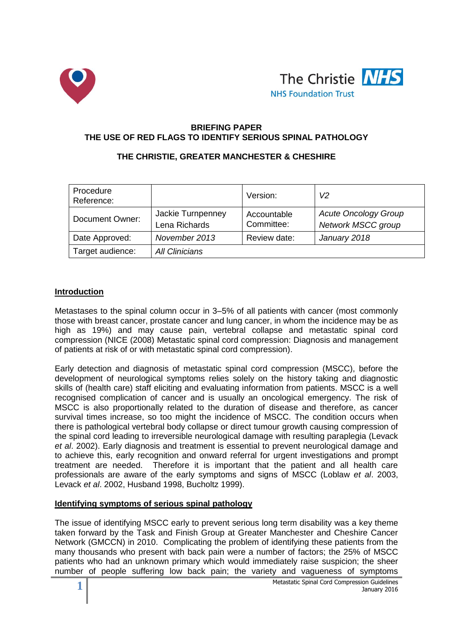



#### **BRIEFING PAPER THE USE OF RED FLAGS TO IDENTIFY SERIOUS SPINAL PATHOLOGY**

# **THE CHRISTIE, GREATER MANCHESTER & CHESHIRE**

| Procedure<br>Reference: |                                    | Version:                  | V2                                                       |
|-------------------------|------------------------------------|---------------------------|----------------------------------------------------------|
| Document Owner:         | Jackie Turnpenney<br>Lena Richards | Accountable<br>Committee: | <b>Acute Oncology Group</b><br><b>Network MSCC group</b> |
| Date Approved:          | November 2013                      | Review date:              | January 2018                                             |
| Target audience:        | <b>All Clinicians</b>              |                           |                                                          |

# **Introduction**

Metastases to the spinal column occur in 3–5% of all patients with cancer (most commonly those with breast cancer, prostate cancer and lung cancer, in whom the incidence may be as high as 19%) and may cause pain, vertebral collapse and metastatic spinal cord compression (NICE (2008) Metastatic spinal cord compression: Diagnosis and management of patients at risk of or with metastatic spinal cord compression).

Early detection and diagnosis of metastatic spinal cord compression (MSCC), before the development of neurological symptoms relies solely on the history taking and diagnostic skills of (health care) staff eliciting and evaluating information from patients. MSCC is a well recognised complication of cancer and is usually an oncological emergency. The risk of MSCC is also proportionally related to the duration of disease and therefore, as cancer survival times increase, so too might the incidence of MSCC. The condition occurs when there is pathological vertebral body collapse or direct tumour growth causing compression of the spinal cord leading to irreversible neurological damage with resulting paraplegia (Levack *et al*. 2002). Early diagnosis and treatment is essential to prevent neurological damage and to achieve this, early recognition and onward referral for urgent investigations and prompt treatment are needed. Therefore it is important that the patient and all health care professionals are aware of the early symptoms and signs of MSCC (Loblaw *et al*. 2003, Levack *et al*. 2002, Husband 1998, Bucholtz 1999).

# **Identifying symptoms of serious spinal pathology**

The issue of identifying MSCC early to prevent serious long term disability was a key theme taken forward by the Task and Finish Group at Greater Manchester and Cheshire Cancer Network (GMCCN) in 2010. Complicating the problem of identifying these patients from the many thousands who present with back pain were a number of factors; the 25% of MSCC patients who had an unknown primary which would immediately raise suspicion; the sheer number of people suffering low back pain; the variety and vagueness of symptoms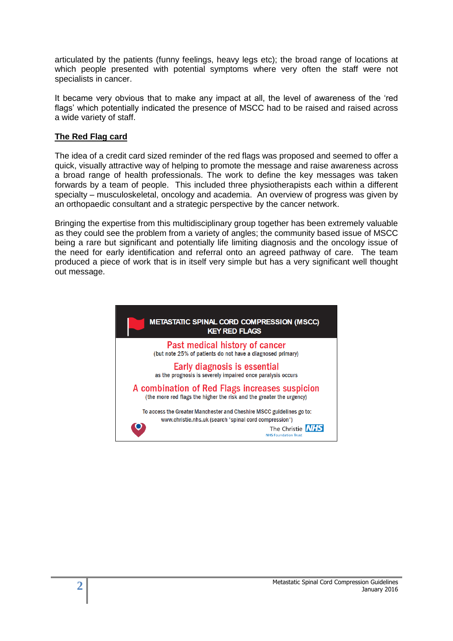articulated by the patients (funny feelings, heavy legs etc); the broad range of locations at which people presented with potential symptoms where very often the staff were not specialists in cancer.

It became very obvious that to make any impact at all, the level of awareness of the 'red flags' which potentially indicated the presence of MSCC had to be raised and raised across a wide variety of staff.

#### **The Red Flag card**

The idea of a credit card sized reminder of the red flags was proposed and seemed to offer a quick, visually attractive way of helping to promote the message and raise awareness across a broad range of health professionals. The work to define the key messages was taken forwards by a team of people. This included three physiotherapists each within a different specialty – musculoskeletal, oncology and academia. An overview of progress was given by an orthopaedic consultant and a strategic perspective by the cancer network.

Bringing the expertise from this multidisciplinary group together has been extremely valuable as they could see the problem from a variety of angles; the community based issue of MSCC being a rare but significant and potentially life limiting diagnosis and the oncology issue of the need for early identification and referral onto an agreed pathway of care. The team produced a piece of work that is in itself very simple but has a very significant well thought out message.

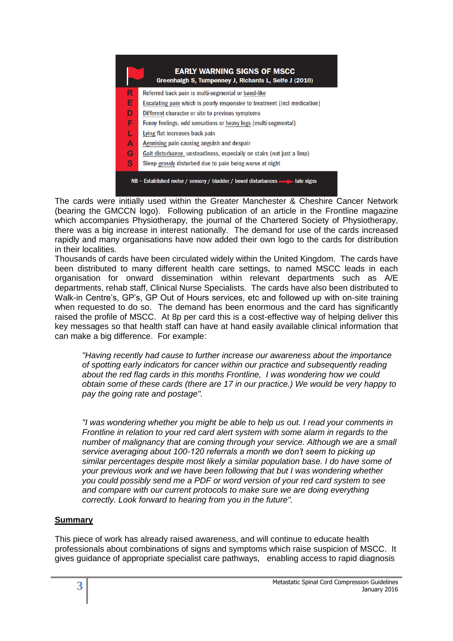

The cards were initially used within the Greater Manchester & Cheshire Cancer Network (bearing the GMCCN logo). Following publication of an article in the Frontline magazine which accompanies Physiotherapy, the journal of the Chartered Society of Physiotherapy, there was a big increase in interest nationally. The demand for use of the cards increased rapidly and many organisations have now added their own logo to the cards for distribution in their localities.

Thousands of cards have been circulated widely within the United Kingdom. The cards have been distributed to many different health care settings, to named MSCC leads in each organisation for onward dissemination within relevant departments such as A/E departments, rehab staff, Clinical Nurse Specialists. The cards have also been distributed to Walk-in Centre's, GP's, GP Out of Hours services, etc and followed up with on-site training when requested to do so. The demand has been enormous and the card has significantly raised the profile of MSCC. At 8p per card this is a cost-effective way of helping deliver this key messages so that health staff can have at hand easily available clinical information that can make a big difference. For example:

*"Having recently had cause to further increase our awareness about the importance of spotting early indicators for cancer within our practice and subsequently reading about the red flag cards in this months Frontline, I was wondering how we could obtain some of these cards (there are 17 in our practice.) We would be very happy to pay the going rate and postage".* 

*"I was wondering whether you might be able to help us out. I read your comments in Frontline in relation to your red card alert system with some alarm in regards to the number of malignancy that are coming through your service. Although we are a small service averaging about 100-120 referrals a month we don't seem to picking up similar percentages despite most likely a similar population base. I do have some of your previous work and we have been following that but I was wondering whether you could possibly send me a PDF or word version of your red card system to see and compare with our current protocols to make sure we are doing everything correctly. Look forward to hearing from you in the future".*

# **Summary**

This piece of work has already raised awareness, and will continue to educate health professionals about combinations of signs and symptoms which raise suspicion of MSCC. It gives guidance of appropriate specialist care pathways, enabling access to rapid diagnosis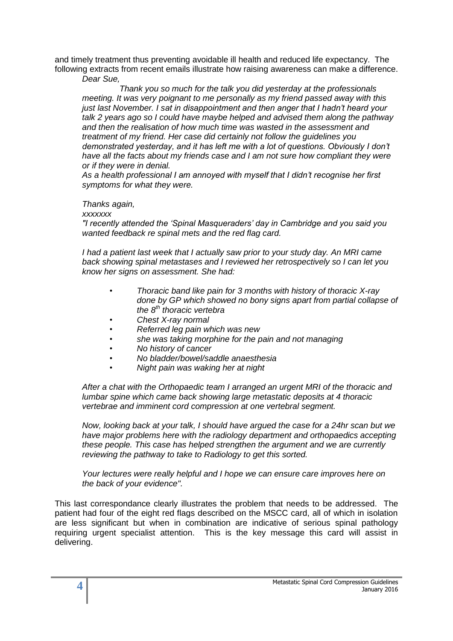and timely treatment thus preventing avoidable ill health and reduced life expectancy. The following extracts from recent emails illustrate how raising awareness can make a difference.

#### *Dear Sue,*

 *Thank you so much for the talk you did yesterday at the professionals meeting. It was very poignant to me personally as my friend passed away with this just last November. I sat in disappointment and then anger that I hadn't heard your talk 2 years ago so I could have maybe helped and advised them along the pathway and then the realisation of how much time was wasted in the assessment and treatment of my friend. Her case did certainly not follow the guidelines you demonstrated yesterday, and it has left me with a lot of questions. Obviously I don't have all the facts about my friends case and I am not sure how compliant they were or if they were in denial.*

*As a health professional I am annoyed with myself that I didn't recognise her first symptoms for what they were.*

#### *Thanks again,*

*xxxxxxx*

*"I recently attended the 'Spinal Masqueraders' day in Cambridge and you said you wanted feedback re spinal mets and the red flag card.*

*I had a patient last week that I actually saw prior to your study day. An MRI came back showing spinal metastases and I reviewed her retrospectively so I can let you know her signs on assessment. She had:*

- *• Thoracic band like pain for 3 months with history of thoracic X-ray done by GP which showed no bony signs apart from partial collapse of the 8th thoracic vertebra*
- *• Chest X-ray normal*
- *• Referred leg pain which was new*
- *• she was taking morphine for the pain and not managing*
- *• No history of cancer*
- *• No bladder/bowel/saddle anaesthesia*
- *• Night pain was waking her at night*

*After a chat with the Orthopaedic team I arranged an urgent MRI of the thoracic and lumbar spine which came back showing large metastatic deposits at 4 thoracic vertebrae and imminent cord compression at one vertebral segment.*

*Now, looking back at your talk, I should have argued the case for a 24hr scan but we have major problems here with the radiology department and orthopaedics accepting these people. This case has helped strengthen the argument and we are currently reviewing the pathway to take to Radiology to get this sorted.*

*Your lectures were really helpful and I hope we can ensure care improves here on the back of your evidence".*

This last correspondance clearly illustrates the problem that needs to be addressed. The patient had four of the eight red flags described on the MSCC card, all of which in isolation are less significant but when in combination are indicative of serious spinal pathology requiring urgent specialist attention. This is the key message this card will assist in delivering.